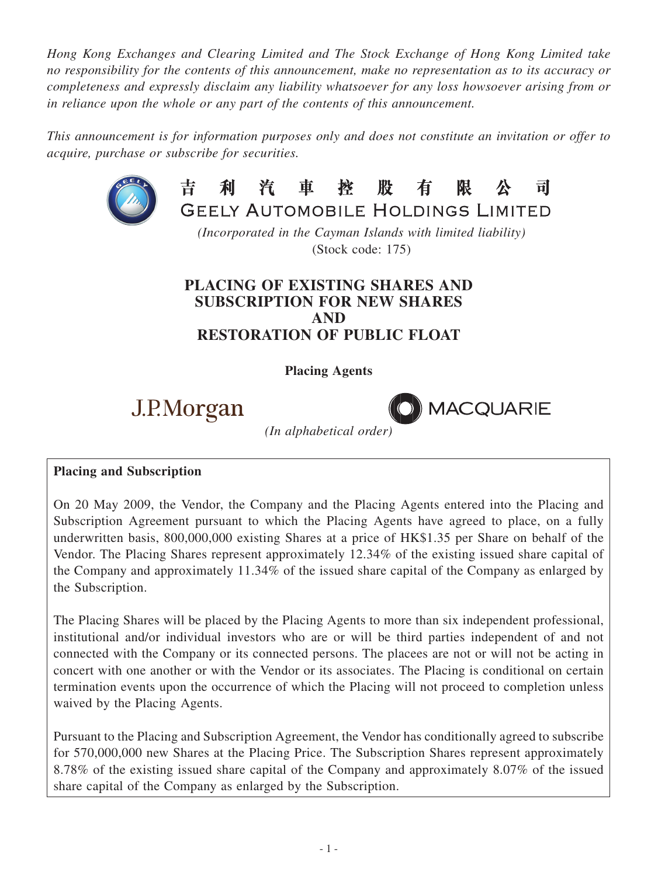*Hong Kong Exchanges and Clearing Limited and The Stock Exchange of Hong Kong Limited take no responsibility for the contents of this announcement, make no representation as to its accuracy or completeness and expressly disclaim any liability whatsoever for any loss howsoever arising from or in reliance upon the whole or any part of the contents of this announcement.*

*This announcement is for information purposes only and does not constitute an invitation or offer to acquire, purchase or subscribe for securities.*



#### 利汽車控股 吉 有 限 븨 **GEELY AUTOMOBILE HOLDINGS LIMITED**

*(Incorporated in the Cayman Islands with limited liability)* (Stock code: 175)

# **PLACING OF EXISTING SHARES AND SUBSCRIPTION FOR NEW SHARES AND RESTORATION OF PUBLIC FLOAT**

# **Placing Agents**

J.P.Morgan



*(In alphabetical order)*

# **Placing and Subscription**

On 20 May 2009, the Vendor, the Company and the Placing Agents entered into the Placing and Subscription Agreement pursuant to which the Placing Agents have agreed to place, on a fully underwritten basis, 800,000,000 existing Shares at a price of HK\$1.35 per Share on behalf of the Vendor. The Placing Shares represent approximately 12.34% of the existing issued share capital of the Company and approximately 11.34% of the issued share capital of the Company as enlarged by the Subscription.

The Placing Shares will be placed by the Placing Agents to more than six independent professional, institutional and/or individual investors who are or will be third parties independent of and not connected with the Company or its connected persons. The placees are not or will not be acting in concert with one another or with the Vendor or its associates. The Placing is conditional on certain termination events upon the occurrence of which the Placing will not proceed to completion unless waived by the Placing Agents.

Pursuant to the Placing and Subscription Agreement, the Vendor has conditionally agreed to subscribe for 570,000,000 new Shares at the Placing Price. The Subscription Shares represent approximately 8.78% of the existing issued share capital of the Company and approximately 8.07% of the issued share capital of the Company as enlarged by the Subscription.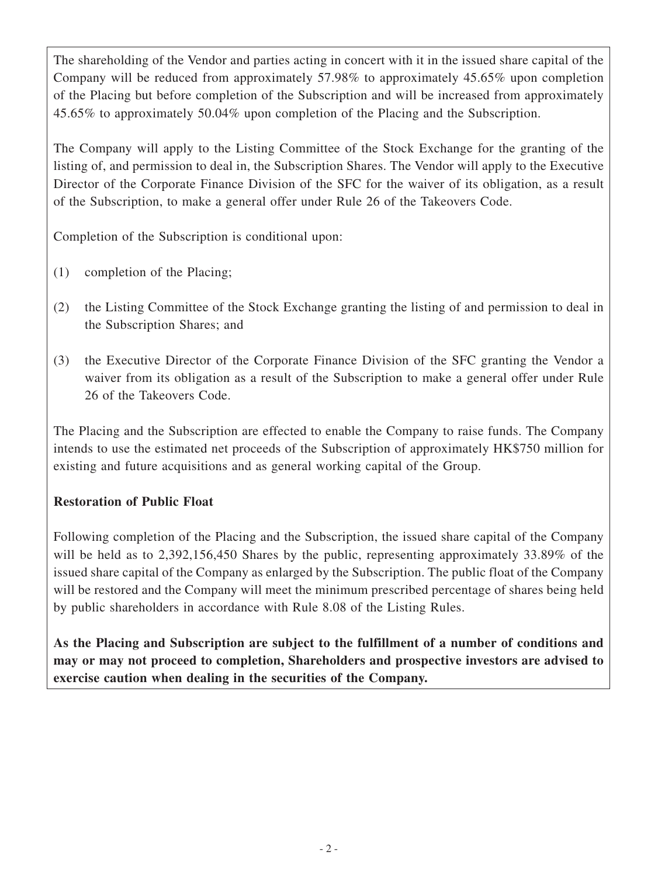The shareholding of the Vendor and parties acting in concert with it in the issued share capital of the Company will be reduced from approximately 57.98% to approximately 45.65% upon completion of the Placing but before completion of the Subscription and will be increased from approximately 45.65% to approximately 50.04% upon completion of the Placing and the Subscription.

The Company will apply to the Listing Committee of the Stock Exchange for the granting of the listing of, and permission to deal in, the Subscription Shares. The Vendor will apply to the Executive Director of the Corporate Finance Division of the SFC for the waiver of its obligation, as a result of the Subscription, to make a general offer under Rule 26 of the Takeovers Code.

Completion of the Subscription is conditional upon:

- (1) completion of the Placing;
- (2) the Listing Committee of the Stock Exchange granting the listing of and permission to deal in the Subscription Shares; and
- (3) the Executive Director of the Corporate Finance Division of the SFC granting the Vendor a waiver from its obligation as a result of the Subscription to make a general offer under Rule 26 of the Takeovers Code.

The Placing and the Subscription are effected to enable the Company to raise funds. The Company intends to use the estimated net proceeds of the Subscription of approximately HK\$750 million for existing and future acquisitions and as general working capital of the Group.

# **Restoration of Public Float**

Following completion of the Placing and the Subscription, the issued share capital of the Company will be held as to 2,392,156,450 Shares by the public, representing approximately 33.89% of the issued share capital of the Company as enlarged by the Subscription. The public float of the Company will be restored and the Company will meet the minimum prescribed percentage of shares being held by public shareholders in accordance with Rule 8.08 of the Listing Rules.

**As the Placing and Subscription are subject to the fulfillment of a number of conditions and may or may not proceed to completion, Shareholders and prospective investors are advised to exercise caution when dealing in the securities of the Company.**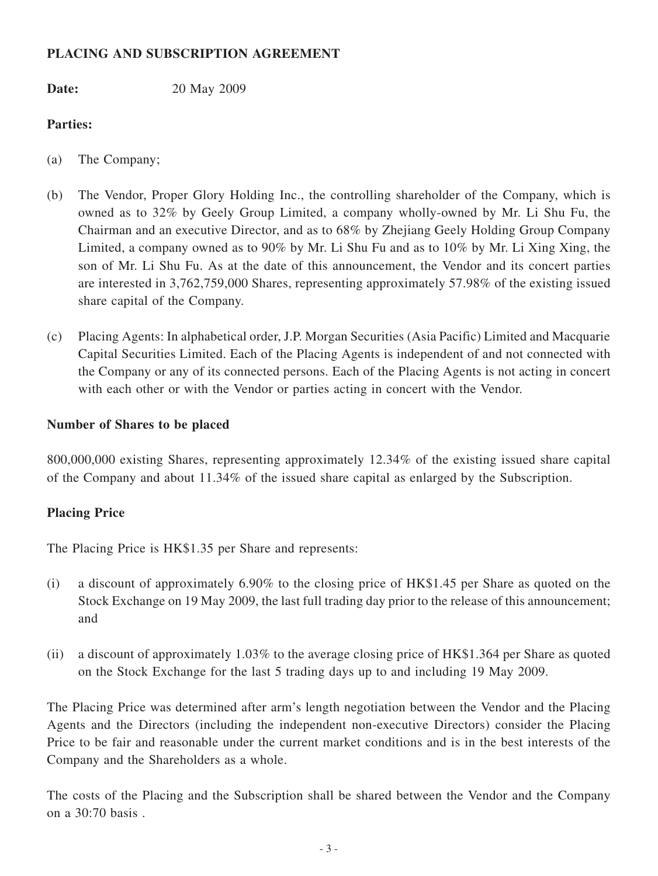# **PLACING and subscription AGREEMENT**

**Date:** 20 May 2009

# **Parties:**

- (a) The Company;
- (b) The Vendor, Proper Glory Holding Inc., the controlling shareholder of the Company, which is owned as to 32% by Geely Group Limited, a company wholly-owned by Mr. Li Shu Fu, the Chairman and an executive Director, and as to 68% by Zhejiang Geely Holding Group Company Limited, a company owned as to 90% by Mr. Li Shu Fu and as to 10% by Mr. Li Xing Xing, the son of Mr. Li Shu Fu. As at the date of this announcement, the Vendor and its concert parties are interested in 3,762,759,000 Shares, representing approximately 57.98% of the existing issued share capital of the Company.
- (c) Placing Agents: In alphabetical order, J.P. Morgan Securities (Asia Pacific) Limited and Macquarie Capital Securities Limited. Each of the Placing Agents is independent of and not connected with the Company or any of its connected persons. Each of the Placing Agents is not acting in concert with each other or with the Vendor or parties acting in concert with the Vendor.

# **Number of Shares to be placed**

800,000,000 existing Shares, representing approximately 12.34% of the existing issued share capital of the Company and about 11.34% of the issued share capital as enlarged by the Subscription.

# **Placing Price**

The Placing Price is HK\$1.35 per Share and represents:

- (i) a discount of approximately 6.90% to the closing price of HK\$1.45 per Share as quoted on the Stock Exchange on 19 May 2009, the last full trading day prior to the release of this announcement; and
- (ii) a discount of approximately 1.03% to the average closing price of HK\$1.364 per Share as quoted on the Stock Exchange for the last 5 trading days up to and including 19 May 2009.

The Placing Price was determined after arm's length negotiation between the Vendor and the Placing Agents and the Directors (including the independent non-executive Directors) consider the Placing Price to be fair and reasonable under the current market conditions and is in the best interests of the Company and the Shareholders as a whole.

The costs of the Placing and the Subscription shall be shared between the Vendor and the Company on a 30:70 basis .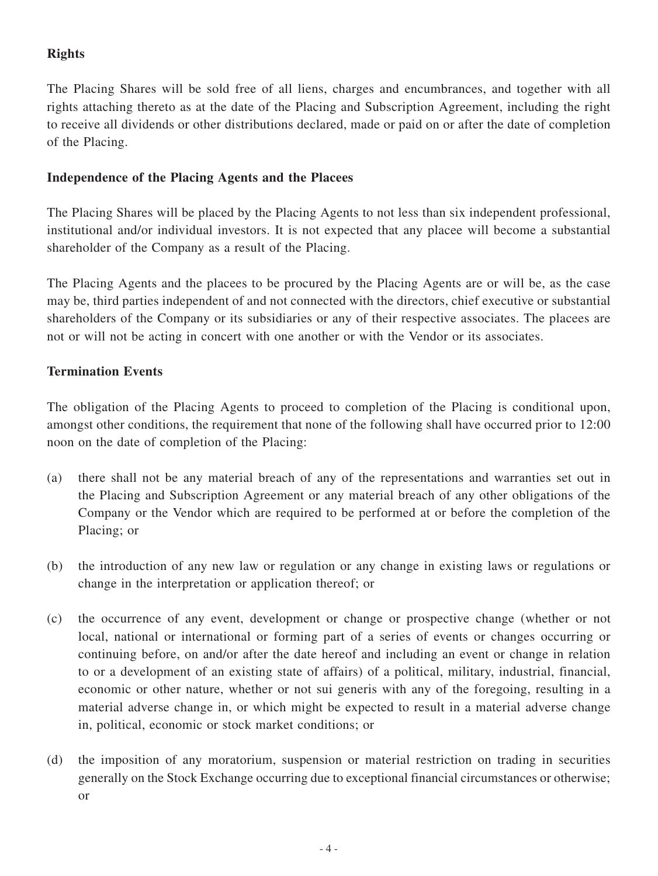# **Rights**

The Placing Shares will be sold free of all liens, charges and encumbrances, and together with all rights attaching thereto as at the date of the Placing and Subscription Agreement, including the right to receive all dividends or other distributions declared, made or paid on or after the date of completion of the Placing.

# **Independence of the Placing Agents and the Placees**

The Placing Shares will be placed by the Placing Agents to not less than six independent professional, institutional and/or individual investors. It is not expected that any placee will become a substantial shareholder of the Company as a result of the Placing.

The Placing Agents and the placees to be procured by the Placing Agents are or will be, as the case may be, third parties independent of and not connected with the directors, chief executive or substantial shareholders of the Company or its subsidiaries or any of their respective associates. The placees are not or will not be acting in concert with one another or with the Vendor or its associates.

# **Termination Events**

The obligation of the Placing Agents to proceed to completion of the Placing is conditional upon, amongst other conditions, the requirement that none of the following shall have occurred prior to 12:00 noon on the date of completion of the Placing:

- (a) there shall not be any material breach of any of the representations and warranties set out in the Placing and Subscription Agreement or any material breach of any other obligations of the Company or the Vendor which are required to be performed at or before the completion of the Placing; or
- (b) the introduction of any new law or regulation or any change in existing laws or regulations or change in the interpretation or application thereof; or
- (c) the occurrence of any event, development or change or prospective change (whether or not local, national or international or forming part of a series of events or changes occurring or continuing before, on and/or after the date hereof and including an event or change in relation to or a development of an existing state of affairs) of a political, military, industrial, financial, economic or other nature, whether or not sui generis with any of the foregoing, resulting in a material adverse change in, or which might be expected to result in a material adverse change in, political, economic or stock market conditions; or
- (d) the imposition of any moratorium, suspension or material restriction on trading in securities generally on the Stock Exchange occurring due to exceptional financial circumstances or otherwise; or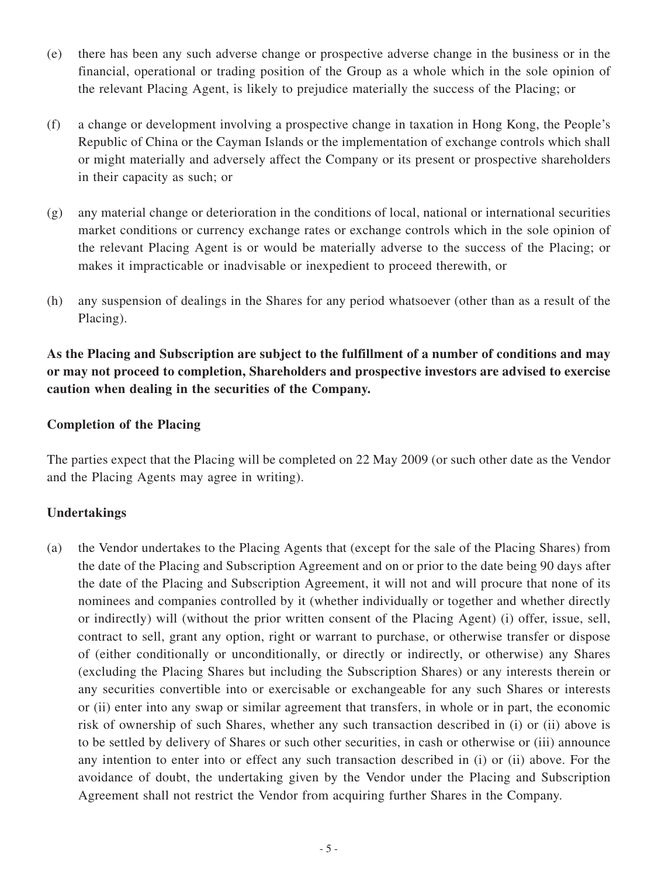- (e) there has been any such adverse change or prospective adverse change in the business or in the financial, operational or trading position of the Group as a whole which in the sole opinion of the relevant Placing Agent, is likely to prejudice materially the success of the Placing; or
- (f) a change or development involving a prospective change in taxation in Hong Kong, the People's Republic of China or the Cayman Islands or the implementation of exchange controls which shall or might materially and adversely affect the Company or its present or prospective shareholders in their capacity as such; or
- (g) any material change or deterioration in the conditions of local, national or international securities market conditions or currency exchange rates or exchange controls which in the sole opinion of the relevant Placing Agent is or would be materially adverse to the success of the Placing; or makes it impracticable or inadvisable or inexpedient to proceed therewith, or
- (h) any suspension of dealings in the Shares for any period whatsoever (other than as a result of the Placing).

# **As the Placing and Subscription are subject to the fulfillment of a number of conditions and may or may not proceed to completion, Shareholders and prospective investors are advised to exercise caution when dealing in the securities of the Company.**

# **Completion of the Placing**

The parties expect that the Placing will be completed on 22 May 2009 (or such other date as the Vendor and the Placing Agents may agree in writing).

# **Undertakings**

(a) the Vendor undertakes to the Placing Agents that (except for the sale of the Placing Shares) from the date of the Placing and Subscription Agreement and on or prior to the date being 90 days after the date of the Placing and Subscription Agreement, it will not and will procure that none of its nominees and companies controlled by it (whether individually or together and whether directly or indirectly) will (without the prior written consent of the Placing Agent) (i) offer, issue, sell, contract to sell, grant any option, right or warrant to purchase, or otherwise transfer or dispose of (either conditionally or unconditionally, or directly or indirectly, or otherwise) any Shares (excluding the Placing Shares but including the Subscription Shares) or any interests therein or any securities convertible into or exercisable or exchangeable for any such Shares or interests or (ii) enter into any swap or similar agreement that transfers, in whole or in part, the economic risk of ownership of such Shares, whether any such transaction described in (i) or (ii) above is to be settled by delivery of Shares or such other securities, in cash or otherwise or (iii) announce any intention to enter into or effect any such transaction described in (i) or (ii) above. For the avoidance of doubt, the undertaking given by the Vendor under the Placing and Subscription Agreement shall not restrict the Vendor from acquiring further Shares in the Company.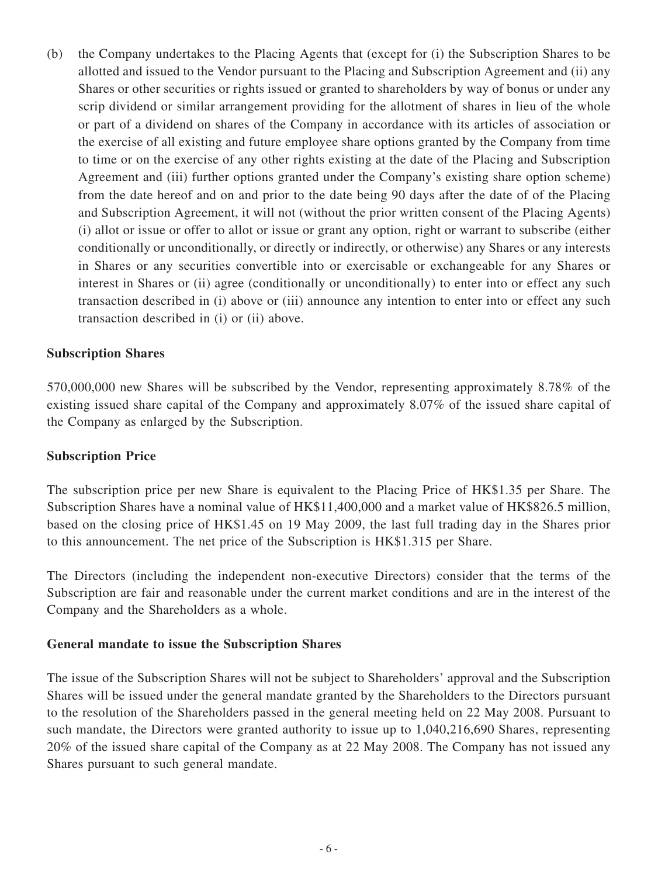(b) the Company undertakes to the Placing Agents that (except for (i) the Subscription Shares to be allotted and issued to the Vendor pursuant to the Placing and Subscription Agreement and (ii) any Shares or other securities or rights issued or granted to shareholders by way of bonus or under any scrip dividend or similar arrangement providing for the allotment of shares in lieu of the whole or part of a dividend on shares of the Company in accordance with its articles of association or the exercise of all existing and future employee share options granted by the Company from time to time or on the exercise of any other rights existing at the date of the Placing and Subscription Agreement and (iii) further options granted under the Company's existing share option scheme) from the date hereof and on and prior to the date being 90 days after the date of of the Placing and Subscription Agreement, it will not (without the prior written consent of the Placing Agents) (i) allot or issue or offer to allot or issue or grant any option, right or warrant to subscribe (either conditionally or unconditionally, or directly or indirectly, or otherwise) any Shares or any interests in Shares or any securities convertible into or exercisable or exchangeable for any Shares or interest in Shares or (ii) agree (conditionally or unconditionally) to enter into or effect any such transaction described in (i) above or (iii) announce any intention to enter into or effect any such transaction described in (i) or (ii) above.

#### **Subscription Shares**

570,000,000 new Shares will be subscribed by the Vendor, representing approximately 8.78% of the existing issued share capital of the Company and approximately 8.07% of the issued share capital of the Company as enlarged by the Subscription.

#### **Subscription Price**

The subscription price per new Share is equivalent to the Placing Price of HK\$1.35 per Share. The Subscription Shares have a nominal value of HK\$11,400,000 and a market value of HK\$826.5 million, based on the closing price of HK\$1.45 on 19 May 2009, the last full trading day in the Shares prior to this announcement. The net price of the Subscription is HK\$1.315 per Share.

The Directors (including the independent non-executive Directors) consider that the terms of the Subscription are fair and reasonable under the current market conditions and are in the interest of the Company and the Shareholders as a whole.

#### **General mandate to issue the Subscription Shares**

The issue of the Subscription Shares will not be subject to Shareholders' approval and the Subscription Shares will be issued under the general mandate granted by the Shareholders to the Directors pursuant to the resolution of the Shareholders passed in the general meeting held on 22 May 2008. Pursuant to such mandate, the Directors were granted authority to issue up to 1,040,216,690 Shares, representing 20% of the issued share capital of the Company as at 22 May 2008. The Company has not issued any Shares pursuant to such general mandate.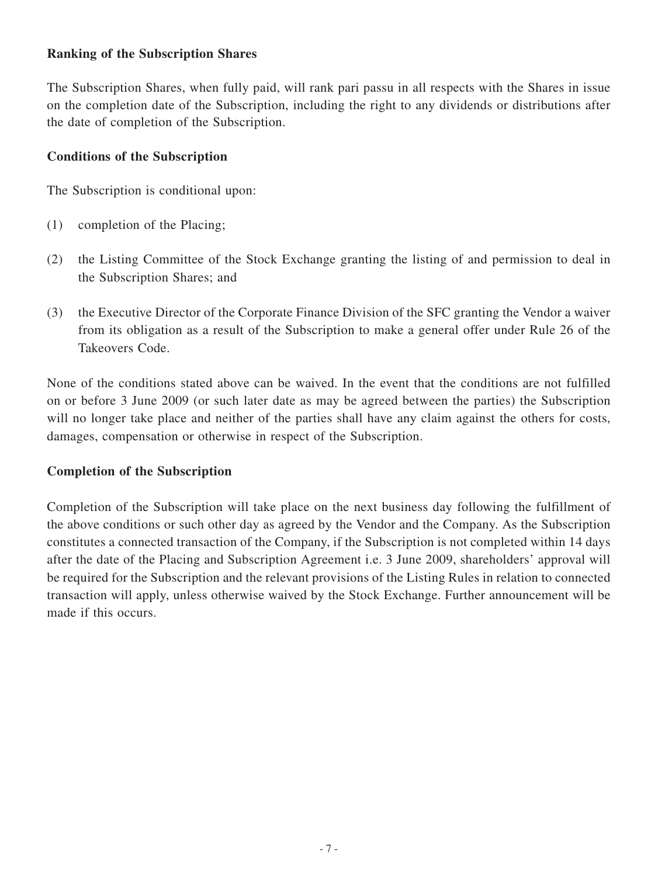# **Ranking of the Subscription Shares**

The Subscription Shares, when fully paid, will rank pari passu in all respects with the Shares in issue on the completion date of the Subscription, including the right to any dividends or distributions after the date of completion of the Subscription.

## **Conditions of the Subscription**

The Subscription is conditional upon:

- (1) completion of the Placing;
- (2) the Listing Committee of the Stock Exchange granting the listing of and permission to deal in the Subscription Shares; and
- (3) the Executive Director of the Corporate Finance Division of the SFC granting the Vendor a waiver from its obligation as a result of the Subscription to make a general offer under Rule 26 of the Takeovers Code.

None of the conditions stated above can be waived. In the event that the conditions are not fulfilled on or before 3 June 2009 (or such later date as may be agreed between the parties) the Subscription will no longer take place and neither of the parties shall have any claim against the others for costs, damages, compensation or otherwise in respect of the Subscription.

# **Completion of the Subscription**

Completion of the Subscription will take place on the next business day following the fulfillment of the above conditions or such other day as agreed by the Vendor and the Company. As the Subscription constitutes a connected transaction of the Company, if the Subscription is not completed within 14 days after the date of the Placing and Subscription Agreement i.e. 3 June 2009, shareholders' approval will be required for the Subscription and the relevant provisions of the Listing Rules in relation to connected transaction will apply, unless otherwise waived by the Stock Exchange. Further announcement will be made if this occurs.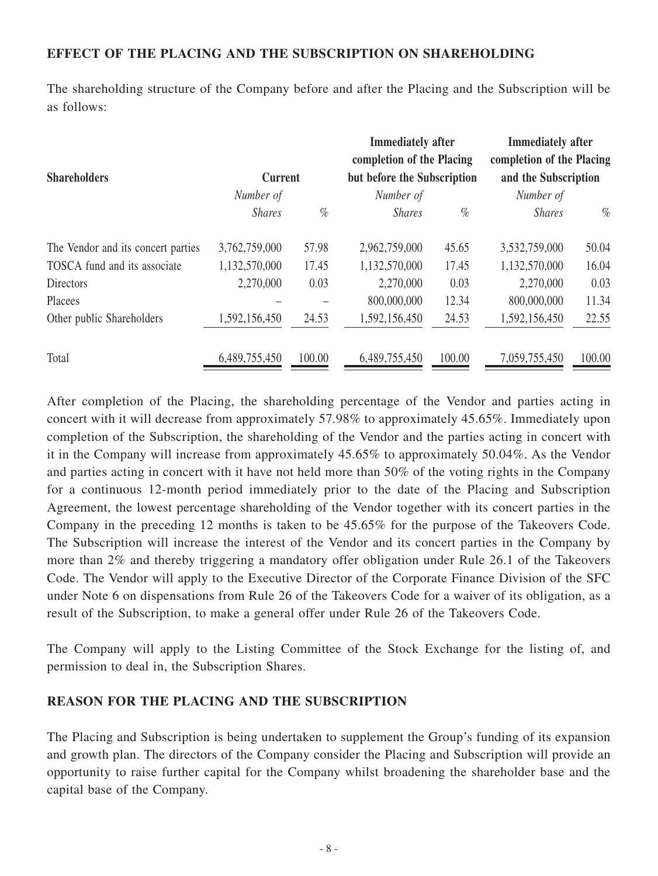# **EFFECT OF THE PLACING AND THE SUBSCRIPTION ON SHAREHOLDING**

The shareholding structure of the Company before and after the Placing and the Subscription will be as follows:

| <b>Shareholders</b>                |                             |        | <b>Immediately after</b><br>completion of the Placing<br>but before the Subscription |        | <b>Immediately</b> after<br>completion of the Placing |        |
|------------------------------------|-----------------------------|--------|--------------------------------------------------------------------------------------|--------|-------------------------------------------------------|--------|
|                                    | <b>Current</b><br>Number of |        | Number of                                                                            |        | and the Subscription<br>Number of                     |        |
|                                    | <b>Shares</b>               | $\%$   | <b>Shares</b>                                                                        | $\%$   | <b>Shares</b>                                         | $\%$   |
| The Vendor and its concert parties | 3,762,759,000               | 57.98  | 2,962,759,000                                                                        | 45.65  | 3,532,759,000                                         | 50.04  |
| TOSCA fund and its associate       | 1,132,570,000               | 17.45  | 1,132,570,000                                                                        | 17.45  | 1,132,570,000                                         | 16.04  |
| <b>Directors</b>                   | 2,270,000                   | 0.03   | 2,270,000                                                                            | 0.03   | 2,270,000                                             | 0.03   |
| Placees                            |                             |        | 800,000,000                                                                          | 12.34  | 800,000,000                                           | 11.34  |
| Other public Shareholders          | 1,592,156,450               | 24.53  | 1,592,156,450                                                                        | 24.53  | 1,592,156,450                                         | 22.55  |
| Total                              | 6,489,755,450               | 100.00 | 6,489,755,450                                                                        | 100.00 | 7,059,755,450                                         | 100.00 |

After completion of the Placing, the shareholding percentage of the Vendor and parties acting in concert with it will decrease from approximately 57.98% to approximately 45.65%. Immediately upon completion of the Subscription, the shareholding of the Vendor and the parties acting in concert with it in the Company will increase from approximately 45.65% to approximately 50.04%. As the Vendor and parties acting in concert with it have not held more than 50% of the voting rights in the Company for a continuous 12-month period immediately prior to the date of the Placing and Subscription Agreement, the lowest percentage shareholding of the Vendor together with its concert parties in the Company in the preceding 12 months is taken to be 45.65% for the purpose of the Takeovers Code. The Subscription will increase the interest of the Vendor and its concert parties in the Company by more than 2% and thereby triggering a mandatory offer obligation under Rule 26.1 of the Takeovers Code. The Vendor will apply to the Executive Director of the Corporate Finance Division of the SFC under Note 6 on dispensations from Rule 26 of the Takeovers Code for a waiver of its obligation, as a result of the Subscription, to make a general offer under Rule 26 of the Takeovers Code.

The Company will apply to the Listing Committee of the Stock Exchange for the listing of, and permission to deal in, the Subscription Shares.

#### **REASON FOR THE PLACING AND THE SUBSCRIPTION**

The Placing and Subscription is being undertaken to supplement the Group's funding of its expansion and growth plan. The directors of the Company consider the Placing and Subscription will provide an opportunity to raise further capital for the Company whilst broadening the shareholder base and the capital base of the Company.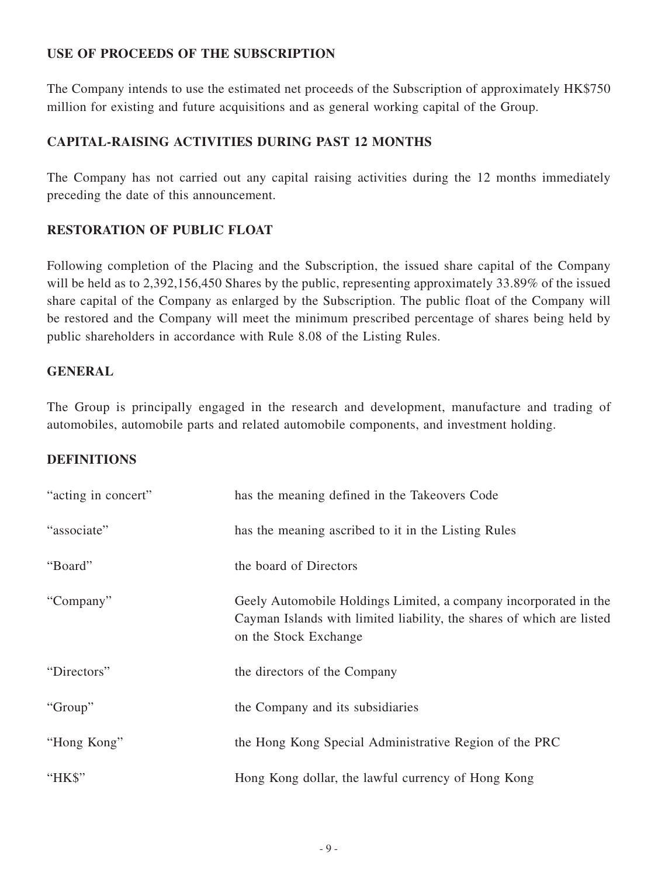# **USE OF PROCEEDS OF THE SUBSCRIPTION**

The Company intends to use the estimated net proceeds of the Subscription of approximately HK\$750 million for existing and future acquisitions and as general working capital of the Group.

# **CAPITAL-RAISING ACTIVITIES DURING PAST 12 MONTHS**

The Company has not carried out any capital raising activities during the 12 months immediately preceding the date of this announcement.

# **RESTORATION OF PUBLIC FLOAT**

Following completion of the Placing and the Subscription, the issued share capital of the Company will be held as to 2,392,156,450 Shares by the public, representing approximately 33.89% of the issued share capital of the Company as enlarged by the Subscription. The public float of the Company will be restored and the Company will meet the minimum prescribed percentage of shares being held by public shareholders in accordance with Rule 8.08 of the Listing Rules.

### **GENERAL**

The Group is principally engaged in the research and development, manufacture and trading of automobiles, automobile parts and related automobile components, and investment holding.

# **DEFINITIONS**

| "acting in concert" | has the meaning defined in the Takeovers Code                                                                                                                      |
|---------------------|--------------------------------------------------------------------------------------------------------------------------------------------------------------------|
| "associate"         | has the meaning ascribed to it in the Listing Rules                                                                                                                |
| "Board"             | the board of Directors                                                                                                                                             |
| "Company"           | Geely Automobile Holdings Limited, a company incorporated in the<br>Cayman Islands with limited liability, the shares of which are listed<br>on the Stock Exchange |
| "Directors"         | the directors of the Company                                                                                                                                       |
| "Group"             | the Company and its subsidiaries                                                                                                                                   |
| "Hong Kong"         | the Hong Kong Special Administrative Region of the PRC                                                                                                             |
| "HK\$"              | Hong Kong dollar, the lawful currency of Hong Kong                                                                                                                 |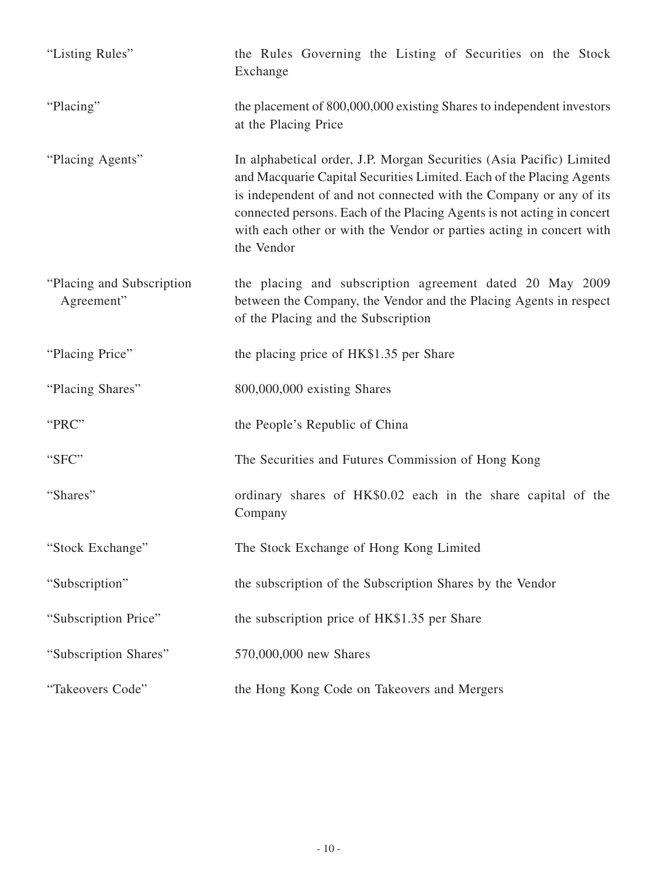| "Listing Rules"                          | the Rules Governing the Listing of Securities on the Stock<br>Exchange                                                                                                                                                                                                                                                                                                             |  |  |  |  |
|------------------------------------------|------------------------------------------------------------------------------------------------------------------------------------------------------------------------------------------------------------------------------------------------------------------------------------------------------------------------------------------------------------------------------------|--|--|--|--|
| "Placing"                                | the placement of 800,000,000 existing Shares to independent investors<br>at the Placing Price                                                                                                                                                                                                                                                                                      |  |  |  |  |
| "Placing Agents"                         | In alphabetical order, J.P. Morgan Securities (Asia Pacific) Limited<br>and Macquarie Capital Securities Limited. Each of the Placing Agents<br>is independent of and not connected with the Company or any of its<br>connected persons. Each of the Placing Agents is not acting in concert<br>with each other or with the Vendor or parties acting in concert with<br>the Vendor |  |  |  |  |
| "Placing and Subscription"<br>Agreement" | the placing and subscription agreement dated 20 May 2009<br>between the Company, the Vendor and the Placing Agents in respect<br>of the Placing and the Subscription                                                                                                                                                                                                               |  |  |  |  |
| "Placing Price"                          | the placing price of HK\$1.35 per Share                                                                                                                                                                                                                                                                                                                                            |  |  |  |  |
| "Placing Shares"                         | 800,000,000 existing Shares                                                                                                                                                                                                                                                                                                                                                        |  |  |  |  |
| "PRC"                                    | the People's Republic of China                                                                                                                                                                                                                                                                                                                                                     |  |  |  |  |
| "SFC"                                    | The Securities and Futures Commission of Hong Kong                                                                                                                                                                                                                                                                                                                                 |  |  |  |  |
| "Shares"                                 | ordinary shares of HK\$0.02 each in the share capital of the<br>Company                                                                                                                                                                                                                                                                                                            |  |  |  |  |
| "Stock Exchange"                         | The Stock Exchange of Hong Kong Limited                                                                                                                                                                                                                                                                                                                                            |  |  |  |  |
| "Subscription"                           | the subscription of the Subscription Shares by the Vendor                                                                                                                                                                                                                                                                                                                          |  |  |  |  |
| "Subscription Price"                     | the subscription price of HK\$1.35 per Share                                                                                                                                                                                                                                                                                                                                       |  |  |  |  |
| "Subscription Shares"                    | 570,000,000 new Shares                                                                                                                                                                                                                                                                                                                                                             |  |  |  |  |
| "Takeovers Code"                         | the Hong Kong Code on Takeovers and Mergers                                                                                                                                                                                                                                                                                                                                        |  |  |  |  |